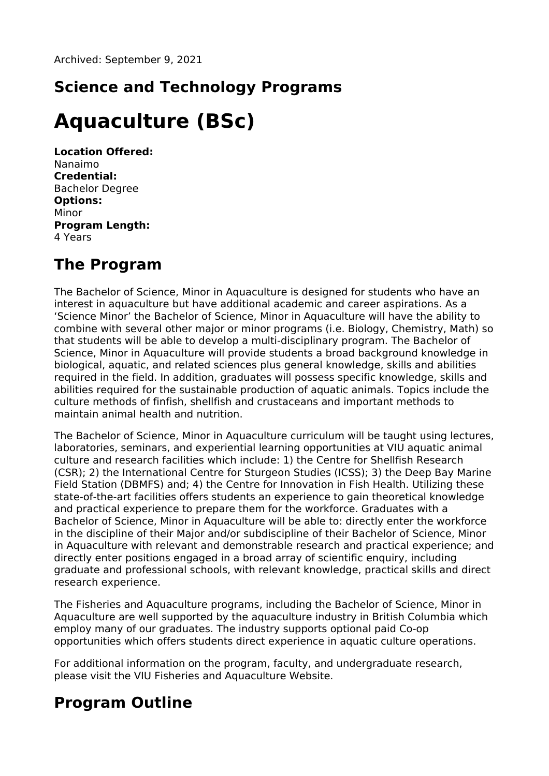## **Science and Technology Programs**

# **Aquaculture (BSc)**

**Location Offered:** Nanaimo **Credential:** Bachelor Degree **Options:** Minor **Program Length:** 4 Years

### **The Program**

The Bachelor of Science, Minor in Aquaculture is designed for students who have an interest in aquaculture but have additional academic and career aspirations. As a 'Science Minor' the Bachelor of Science, Minor in Aquaculture will have the ability to combine with several other major or minor programs (i.e. Biology, Chemistry, Math) so that students will be able to develop a multi-disciplinary program. The Bachelor of Science, Minor in Aquaculture will provide students a broad background knowledge in biological, aquatic, and related sciences plus general knowledge, skills and abilities required in the field. In addition, graduates will possess specific knowledge, skills and abilities required for the sustainable production of aquatic animals. Topics include the culture methods of finfish, shellfish and crustaceans and important methods to maintain animal health and nutrition.

The Bachelor of Science, Minor in Aquaculture curriculum will be taught using lectures, laboratories, seminars, and experiential learning opportunities at VIU aquatic animal culture and research facilities which include: 1) the Centre for Shellfish Research (CSR); 2) the International Centre for Sturgeon Studies (ICSS); 3) the Deep Bay Marine Field Station (DBMFS) and; 4) the Centre for Innovation in Fish Health. Utilizing these state-of-the-art facilities offers students an experience to gain theoretical knowledge and practical experience to prepare them for the workforce. Graduates with a Bachelor of Science, Minor in Aquaculture will be able to: directly enter the workforce in the discipline of their Major and/or subdiscipline of their Bachelor of Science, Minor in Aquaculture with relevant and demonstrable research and practical experience; and directly enter positions engaged in a broad array of scientific enquiry, including graduate and professional schools, with relevant knowledge, practical skills and direct research experience.

The Fisheries and Aquaculture programs, including the Bachelor of Science, Minor in Aquaculture are well supported by the aquaculture industry in British Columbia which employ many of our graduates. The industry supports optional paid Co-op opportunities which offers students direct experience in aquatic culture operations.

For additional information on the program, faculty, and undergraduate research, please visit the VIU Fisheries and Aquaculture Website.

### **Program Outline**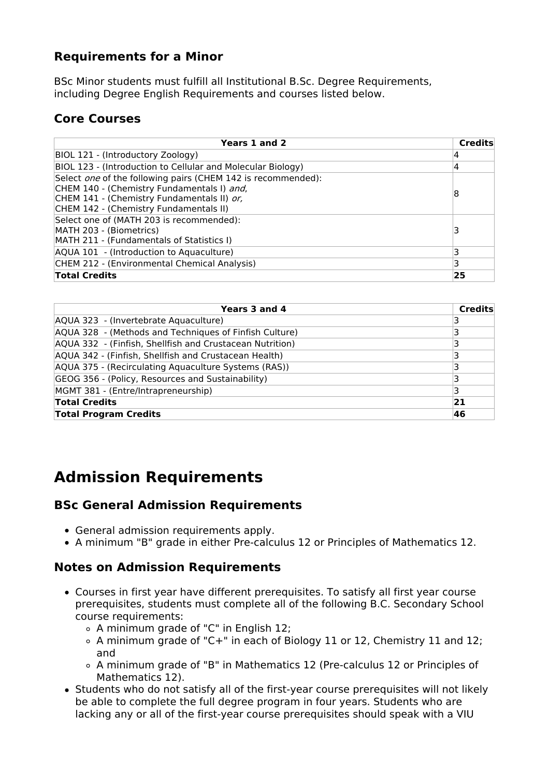#### **Requirements for a Minor**

BSc Minor students must fulfill all Institutional B.Sc. Degree Requirements, including Degree English Requirements and courses listed below.

### **Core Courses**

| Years 1 and 2                                                                                                                                                                                      | <b>Credits</b> |
|----------------------------------------------------------------------------------------------------------------------------------------------------------------------------------------------------|----------------|
| BIOL 121 - (Introductory Zoology)                                                                                                                                                                  | 4              |
| BIOL 123 - (Introduction to Cellular and Molecular Biology)                                                                                                                                        | 4              |
| Select one of the following pairs (CHEM 142 is recommended):<br>CHEM 140 - (Chemistry Fundamentals I) and,<br>CHEM 141 - (Chemistry Fundamentals II) or,<br>CHEM 142 - (Chemistry Fundamentals II) | 8              |
| Select one of (MATH 203 is recommended):<br>MATH 203 - (Biometrics)<br>MATH 211 - (Fundamentals of Statistics I)                                                                                   |                |
| AQUA 101 - (Introduction to Aquaculture)                                                                                                                                                           |                |
| CHEM 212 - (Environmental Chemical Analysis)                                                                                                                                                       | 3              |
| <b>Total Credits</b>                                                                                                                                                                               | 25             |

| Years 3 and 4                                            | Credits |
|----------------------------------------------------------|---------|
| AQUA 323 - (Invertebrate Aquaculture)                    |         |
| AQUA 328 - (Methods and Techniques of Finfish Culture)   |         |
| AQUA 332 - (Finfish, Shellfish and Crustacean Nutrition) |         |
| AQUA 342 - (Finfish, Shellfish and Crustacean Health)    |         |
| AQUA 375 - (Recirculating Aquaculture Systems (RAS))     |         |
| GEOG 356 - (Policy, Resources and Sustainability)        |         |
| MGMT 381 - (Entre/Intrapreneurship)                      | з       |
| <b>Total Credits</b>                                     | 21      |
| <b>Total Program Credits</b>                             | 46      |

### **Admission Requirements**

#### **BSc General Admission Requirements**

- General admission requirements apply.
- A minimum "B" grade in either Pre-calculus 12 or Principles of Mathematics 12.

#### **Notes on Admission Requirements**

- Courses in first year have different prerequisites. To satisfy all first year course prerequisites, students must complete all of the following B.C. Secondary School course requirements:
	- A minimum grade of "C" in English 12;
	- A minimum grade of "C+" in each of Biology 11 or 12, Chemistry 11 and 12; and
	- A minimum grade of "B" in Mathematics 12 (Pre-calculus 12 or Principles of Mathematics 12).
- Students who do not satisfy all of the first-year course prerequisites will not likely be able to complete the full degree program in four years. Students who are lacking any or all of the first-year course prerequisites should speak with a VIU